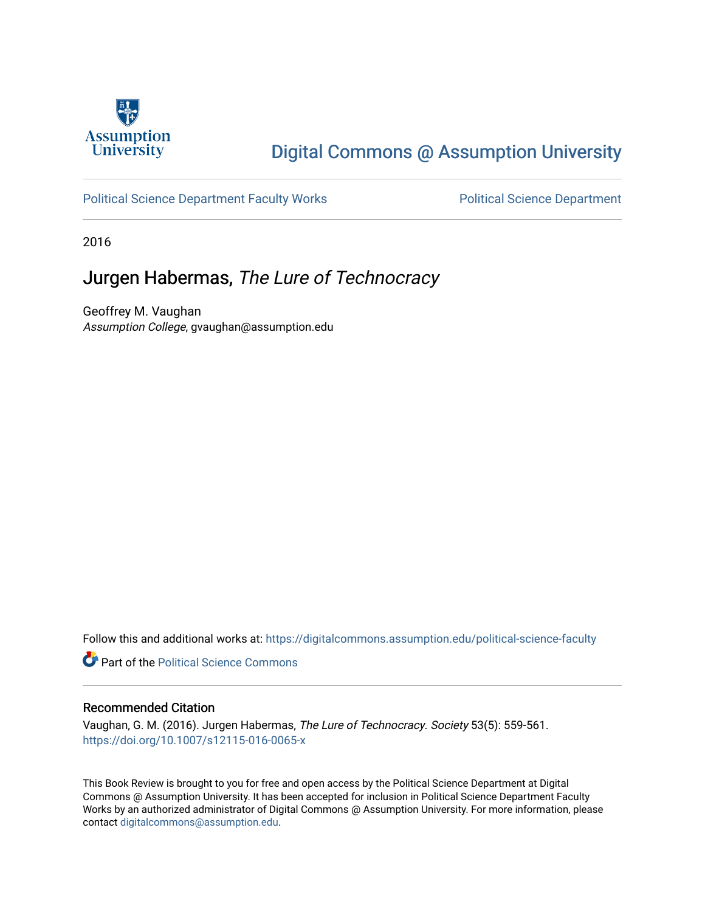

# [Digital Commons @ Assumption University](https://digitalcommons.assumption.edu/)

### [Political Science Department Faculty Works](https://digitalcommons.assumption.edu/political-science-faculty) **Political Science Department**

2016

## Jurgen Habermas, The Lure of Technocracy

Geoffrey M. Vaughan Assumption College, gvaughan@assumption.edu

Follow this and additional works at: [https://digitalcommons.assumption.edu/political-science-faculty](https://digitalcommons.assumption.edu/political-science-faculty?utm_source=digitalcommons.assumption.edu%2Fpolitical-science-faculty%2F47&utm_medium=PDF&utm_campaign=PDFCoverPages)

**Part of the Political Science Commons** 

### Recommended Citation

Vaughan, G. M. (2016). Jurgen Habermas, The Lure of Technocracy. Society 53(5): 559-561. <https://doi.org/10.1007/s12115-016-0065-x>

This Book Review is brought to you for free and open access by the Political Science Department at Digital Commons @ Assumption University. It has been accepted for inclusion in Political Science Department Faculty Works by an authorized administrator of Digital Commons @ Assumption University. For more information, please contact [digitalcommons@assumption.edu.](mailto:digitalcommons@assumption.edu)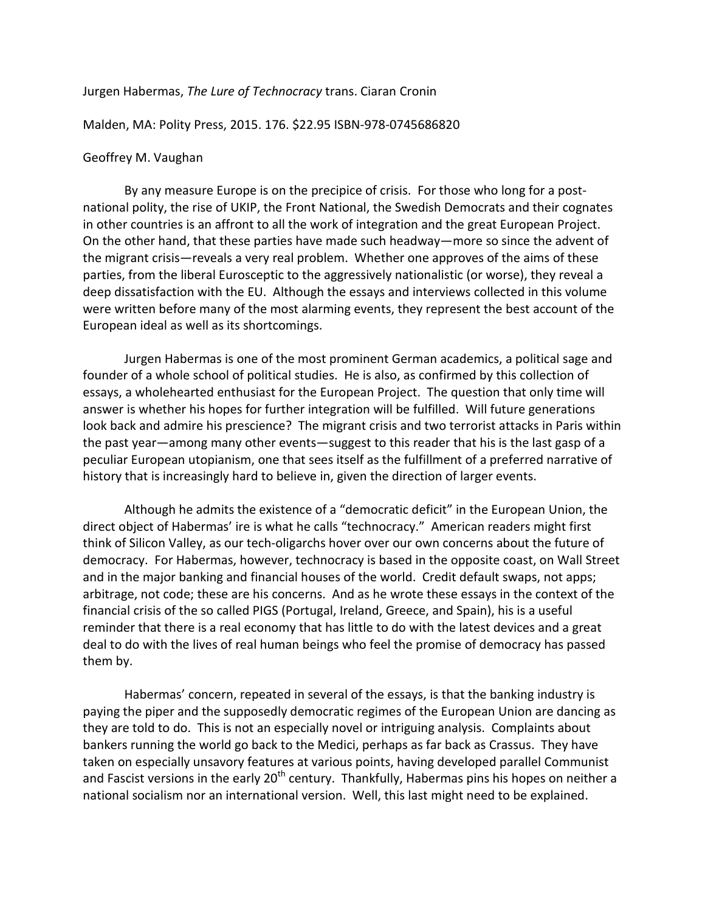Jurgen Habermas, *The Lure of Technocracy* trans. Ciaran Cronin

Malden, MA: Polity Press, 2015. 176. \$22.95 ISBN-978-0745686820

#### Geoffrey M. Vaughan

By any measure Europe is on the precipice of crisis. For those who long for a postnational polity, the rise of UKIP, the Front National, the Swedish Democrats and their cognates in other countries is an affront to all the work of integration and the great European Project. On the other hand, that these parties have made such headway—more so since the advent of the migrant crisis—reveals a very real problem. Whether one approves of the aims of these parties, from the liberal Eurosceptic to the aggressively nationalistic (or worse), they reveal a deep dissatisfaction with the EU. Although the essays and interviews collected in this volume were written before many of the most alarming events, they represent the best account of the European ideal as well as its shortcomings.

Jurgen Habermas is one of the most prominent German academics, a political sage and founder of a whole school of political studies. He is also, as confirmed by this collection of essays, a wholehearted enthusiast for the European Project. The question that only time will answer is whether his hopes for further integration will be fulfilled. Will future generations look back and admire his prescience? The migrant crisis and two terrorist attacks in Paris within the past year—among many other events—suggest to this reader that his is the last gasp of a peculiar European utopianism, one that sees itself as the fulfillment of a preferred narrative of history that is increasingly hard to believe in, given the direction of larger events.

Although he admits the existence of a "democratic deficit" in the European Union, the direct object of Habermas' ire is what he calls "technocracy." American readers might first think of Silicon Valley, as our tech-oligarchs hover over our own concerns about the future of democracy. For Habermas, however, technocracy is based in the opposite coast, on Wall Street and in the major banking and financial houses of the world. Credit default swaps, not apps; arbitrage, not code; these are his concerns. And as he wrote these essays in the context of the financial crisis of the so called PIGS (Portugal, Ireland, Greece, and Spain), his is a useful reminder that there is a real economy that has little to do with the latest devices and a great deal to do with the lives of real human beings who feel the promise of democracy has passed them by.

Habermas' concern, repeated in several of the essays, is that the banking industry is paying the piper and the supposedly democratic regimes of the European Union are dancing as they are told to do. This is not an especially novel or intriguing analysis. Complaints about bankers running the world go back to the Medici, perhaps as far back as Crassus. They have taken on especially unsavory features at various points, having developed parallel Communist and Fascist versions in the early 20<sup>th</sup> century. Thankfully, Habermas pins his hopes on neither a national socialism nor an international version. Well, this last might need to be explained.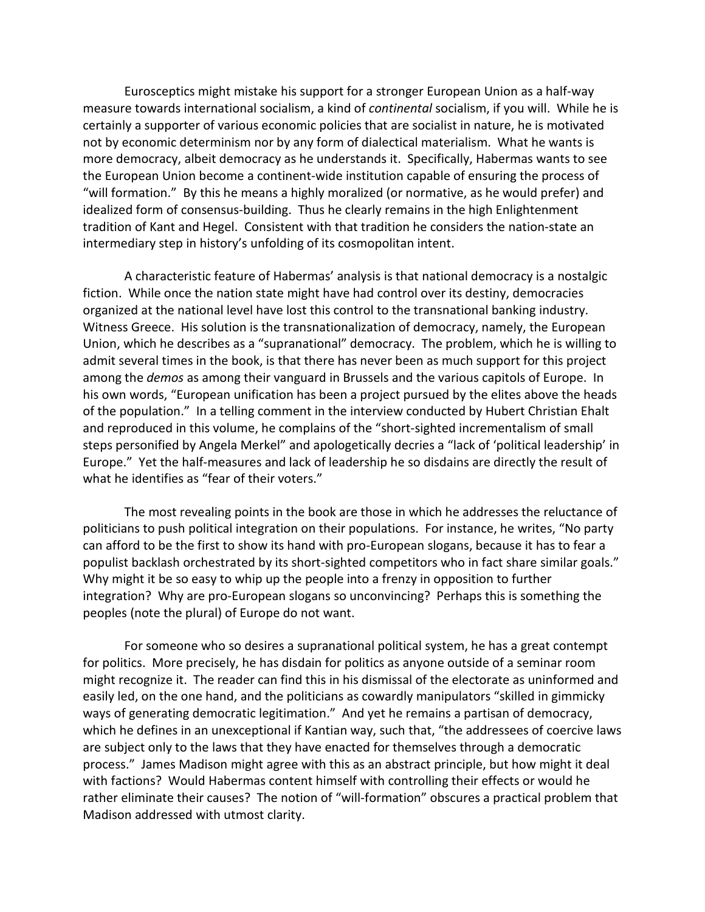Eurosceptics might mistake his support for a stronger European Union as a half-way measure towards international socialism, a kind of *continental* socialism, if you will. While he is certainly a supporter of various economic policies that are socialist in nature, he is motivated not by economic determinism nor by any form of dialectical materialism. What he wants is more democracy, albeit democracy as he understands it. Specifically, Habermas wants to see the European Union become a continent-wide institution capable of ensuring the process of "will formation." By this he means a highly moralized (or normative, as he would prefer) and idealized form of consensus-building. Thus he clearly remains in the high Enlightenment tradition of Kant and Hegel. Consistent with that tradition he considers the nation-state an intermediary step in history's unfolding of its cosmopolitan intent.

A characteristic feature of Habermas' analysis is that national democracy is a nostalgic fiction. While once the nation state might have had control over its destiny, democracies organized at the national level have lost this control to the transnational banking industry. Witness Greece. His solution is the transnationalization of democracy, namely, the European Union, which he describes as a "supranational" democracy. The problem, which he is willing to admit several times in the book, is that there has never been as much support for this project among the *demos* as among their vanguard in Brussels and the various capitols of Europe. In his own words, "European unification has been a project pursued by the elites above the heads of the population." In a telling comment in the interview conducted by Hubert Christian Ehalt and reproduced in this volume, he complains of the "short-sighted incrementalism of small steps personified by Angela Merkel" and apologetically decries a "lack of 'political leadership' in Europe." Yet the half-measures and lack of leadership he so disdains are directly the result of what he identifies as "fear of their voters."

The most revealing points in the book are those in which he addresses the reluctance of politicians to push political integration on their populations. For instance, he writes, "No party can afford to be the first to show its hand with pro-European slogans, because it has to fear a populist backlash orchestrated by its short-sighted competitors who in fact share similar goals." Why might it be so easy to whip up the people into a frenzy in opposition to further integration? Why are pro-European slogans so unconvincing? Perhaps this is something the peoples (note the plural) of Europe do not want.

For someone who so desires a supranational political system, he has a great contempt for politics. More precisely, he has disdain for politics as anyone outside of a seminar room might recognize it. The reader can find this in his dismissal of the electorate as uninformed and easily led, on the one hand, and the politicians as cowardly manipulators "skilled in gimmicky ways of generating democratic legitimation." And yet he remains a partisan of democracy, which he defines in an unexceptional if Kantian way, such that, "the addressees of coercive laws are subject only to the laws that they have enacted for themselves through a democratic process." James Madison might agree with this as an abstract principle, but how might it deal with factions? Would Habermas content himself with controlling their effects or would he rather eliminate their causes? The notion of "will-formation" obscures a practical problem that Madison addressed with utmost clarity.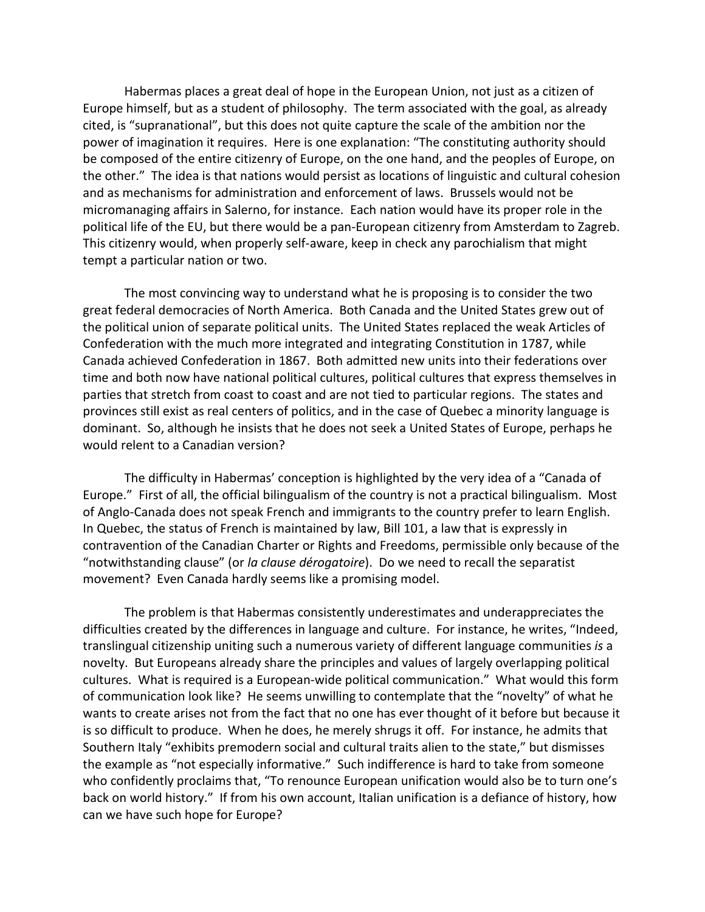Habermas places a great deal of hope in the European Union, not just as a citizen of Europe himself, but as a student of philosophy. The term associated with the goal, as already cited, is "supranational", but this does not quite capture the scale of the ambition nor the power of imagination it requires. Here is one explanation: "The constituting authority should be composed of the entire citizenry of Europe, on the one hand, and the peoples of Europe, on the other." The idea is that nations would persist as locations of linguistic and cultural cohesion and as mechanisms for administration and enforcement of laws. Brussels would not be micromanaging affairs in Salerno, for instance. Each nation would have its proper role in the political life of the EU, but there would be a pan-European citizenry from Amsterdam to Zagreb. This citizenry would, when properly self-aware, keep in check any parochialism that might tempt a particular nation or two.

The most convincing way to understand what he is proposing is to consider the two great federal democracies of North America. Both Canada and the United States grew out of the political union of separate political units. The United States replaced the weak Articles of Confederation with the much more integrated and integrating Constitution in 1787, while Canada achieved Confederation in 1867. Both admitted new units into their federations over time and both now have national political cultures, political cultures that express themselves in parties that stretch from coast to coast and are not tied to particular regions. The states and provinces still exist as real centers of politics, and in the case of Quebec a minority language is dominant. So, although he insists that he does not seek a United States of Europe, perhaps he would relent to a Canadian version?

The difficulty in Habermas' conception is highlighted by the very idea of a "Canada of Europe." First of all, the official bilingualism of the country is not a practical bilingualism. Most of Anglo-Canada does not speak French and immigrants to the country prefer to learn English. In Quebec, the status of French is maintained by law, Bill 101, a law that is expressly in contravention of the Canadian Charter or Rights and Freedoms, permissible only because of the "notwithstanding clause" (or *la clause dérogatoire*). Do we need to recall the separatist movement? Even Canada hardly seems like a promising model.

The problem is that Habermas consistently underestimates and underappreciates the difficulties created by the differences in language and culture. For instance, he writes, "Indeed, translingual citizenship uniting such a numerous variety of different language communities *is* a novelty. But Europeans already share the principles and values of largely overlapping political cultures. What is required is a European-wide political communication." What would this form of communication look like? He seems unwilling to contemplate that the "novelty" of what he wants to create arises not from the fact that no one has ever thought of it before but because it is so difficult to produce. When he does, he merely shrugs it off. For instance, he admits that Southern Italy "exhibits premodern social and cultural traits alien to the state," but dismisses the example as "not especially informative." Such indifference is hard to take from someone who confidently proclaims that, "To renounce European unification would also be to turn one's back on world history." If from his own account, Italian unification is a defiance of history, how can we have such hope for Europe?